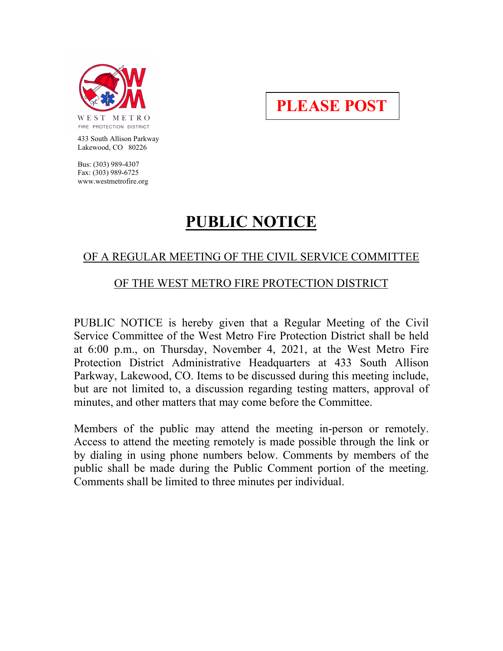

**PLEASE POST**

 433 South Allison Parkway Lakewood, CO 80226

 Bus: (303) 989-4307 Fax: (303) 989-6725 www.westmetrofire.org

## **PUBLIC NOTICE**

## OF A REGULAR MEETING OF THE CIVIL SERVICE COMMITTEE

## OF THE WEST METRO FIRE PROTECTION DISTRICT

PUBLIC NOTICE is hereby given that a Regular Meeting of the Civil Service Committee of the West Metro Fire Protection District shall be held at 6:00 p.m., on Thursday, November 4, 2021, at the West Metro Fire Protection District Administrative Headquarters at 433 South Allison Parkway, Lakewood, CO. Items to be discussed during this meeting include, but are not limited to, a discussion regarding testing matters, approval of minutes, and other matters that may come before the Committee.

Members of the public may attend the meeting in-person or remotely. Access to attend the meeting remotely is made possible through the link or by dialing in using phone numbers below. Comments by members of the public shall be made during the Public Comment portion of the meeting. Comments shall be limited to three minutes per individual.